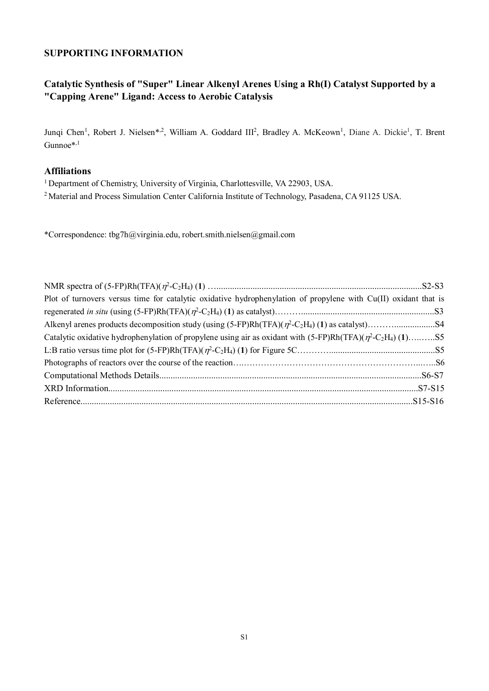## **SUPPORTING INFORMATION**

# **Catalytic Synthesis of "Super" Linear Alkenyl Arenes Using a Rh(I) Catalyst Supported by a "Capping Arene" Ligand: Access to Aerobic Catalysis**

Junqi Chen<sup>1</sup>, Robert J. Nielsen<sup>\*, 2</sup>, William A. Goddard III<sup>2</sup>, Bradley A. McKeown<sup>1</sup>, Diane A. Dickie<sup>1</sup>, T. Brent Gunnoe\*,1

## **Affiliations**

<sup>1</sup> Department of Chemistry, University of Virginia, Charlottesville, VA 22903, USA.

<sup>2</sup> Material and Process Simulation Center California Institute of Technology, Pasadena, CA 91125 USA.

\*Correspondence: tbg7h@virginia.edu, robert.smith.nielsen@gmail.com

| Plot of turnovers versus time for catalytic oxidative hydrophenylation of propylene with Cu(II) oxidant that is |  |
|-----------------------------------------------------------------------------------------------------------------|--|
|                                                                                                                 |  |
|                                                                                                                 |  |
|                                                                                                                 |  |
|                                                                                                                 |  |
|                                                                                                                 |  |
|                                                                                                                 |  |
|                                                                                                                 |  |
|                                                                                                                 |  |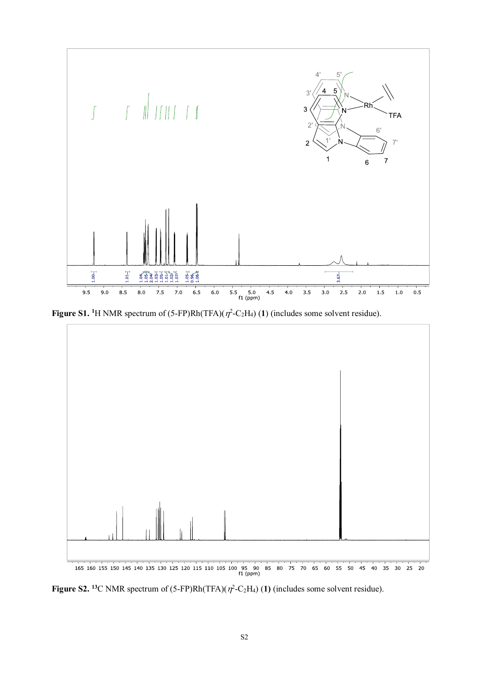

**Figure S1.** <sup>1</sup>H NMR spectrum of  $(5$ -FP)Rh(TFA)( $\eta$ <sup>2</sup>-C<sub>2</sub>H<sub>4</sub>) (1) (includes some solvent residue).



**Figure S2.** <sup>13</sup>C NMR spectrum of  $(5$ -FP)Rh(TFA)( $\eta$ <sup>2</sup>-C<sub>2</sub>H<sub>4</sub>) (1) (includes some solvent residue).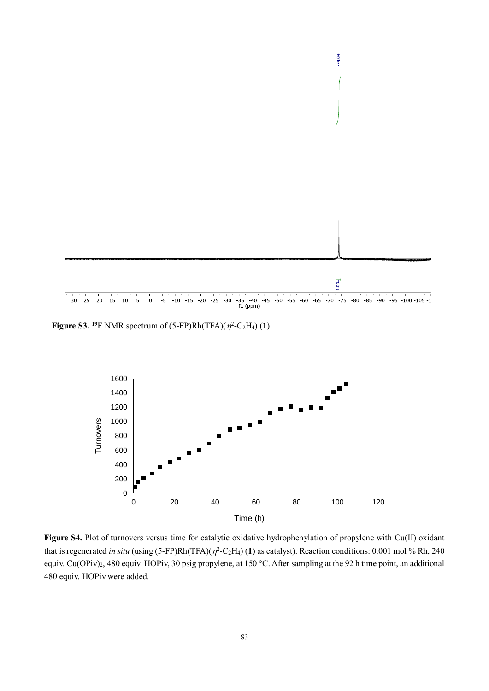

**Figure S3.** <sup>19</sup>F NMR spectrum of  $(5$ -FP)Rh $(TFA)(\eta^2-C_2H_4)$  (1).



**Figure S4.** Plot of turnovers versus time for catalytic oxidative hydrophenylation of propylene with Cu(II) oxidant that is regenerated *in situ* (using  $(5$ -FP)Rh(TFA)( $\eta$ <sup>2</sup>-C<sub>2</sub>H<sub>4</sub>)(1) as catalyst). Reaction conditions: 0.001 mol % Rh, 240 equiv. Cu(OPiv)<sub>2</sub>, 480 equiv. HOPiv, 30 psig propylene, at 150 °C. After sampling at the 92 h time point, an additional 480 equiv. HOPiv were added.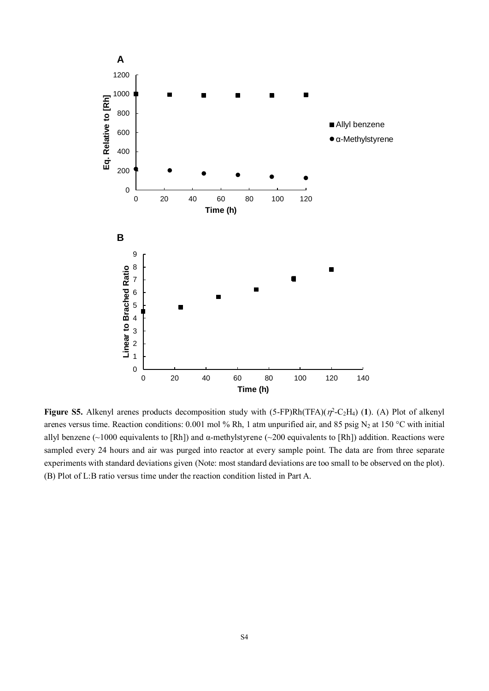

**Figure S5.** Alkenyl arenes products decomposition study with  $(5-FP)Rh(TFA)(\eta^2-C_2H_4)$  (1). (A) Plot of alkenyl arenes versus time. Reaction conditions: 0.001 mol % Rh, 1 atm unpurified air, and 85 psig N<sub>2</sub> at 150 °C with initial allyl benzene (~1000 equivalents to [Rh]) and  $\alpha$ -methylstyrene (~200 equivalents to [Rh]) addition. Reactions were sampled every 24 hours and air was purged into reactor at every sample point. The data are from three separate experiments with standard deviations given (Note: most standard deviations are too small to be observed on the plot). (B) Plot of L:B ratio versus time under the reaction condition listed in Part A.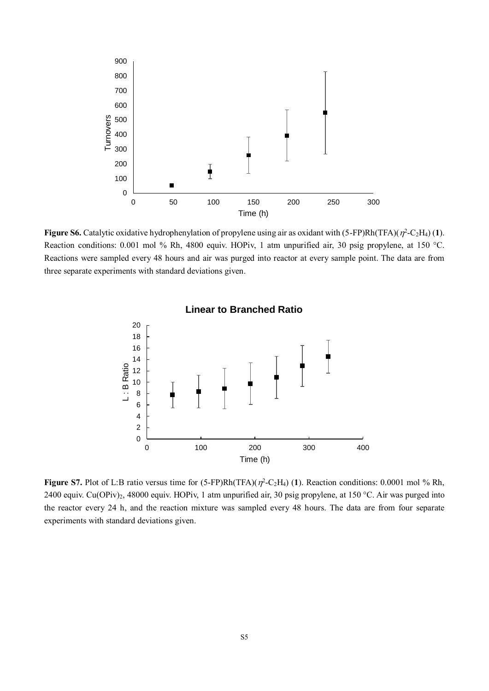

**Figure S6.** Catalytic oxidative hydrophenylation of propylene using air as oxidant with  $(5-FP)Rh(TFA)(\eta^2-C_2H_4)$  (1). Reaction conditions: 0.001 mol % Rh, 4800 equiv. HOPiv, 1 atm unpurified air, 30 psig propylene, at 150 °C. Reactions were sampled every 48 hours and air was purged into reactor at every sample point. The data are from three separate experiments with standard deviations given.



**Figure S7.** Plot of L:B ratio versus time for  $(5-FP)Rh(TFA)(\eta^2-C_2H_4)$  (1). Reaction conditions: 0.0001 mol % Rh, 2400 equiv. Cu(OPiv)2, 48000 equiv. HOPiv, 1 atm unpurified air, 30 psig propylene, at 150 °C. Air was purged into the reactor every 24 h, and the reaction mixture was sampled every 48 hours. The data are from four separate experiments with standard deviations given.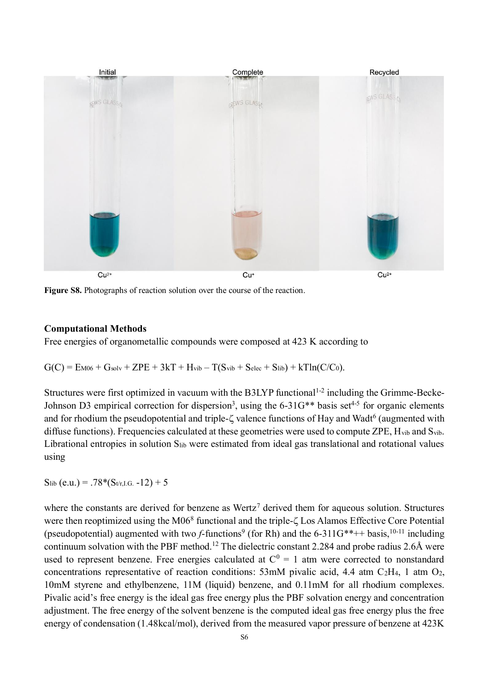

**Figure S8.** Photographs of reaction solution over the course of the reaction.

## **Computational Methods**

Free energies of organometallic compounds were composed at 423 K according to

 $G(C) = E_{M06} + G_{solv} + ZPE + 3kT + H_{vib} - T(S_{vib} + S_{elec} + S_{lib}) + kTln(C/C_0).$ 

Structures were first optimized in vacuum with the B3LYP functional<sup>1-2</sup> including the Grimme-Becke-Johnson D3 empirical correction for dispersion<sup>3</sup>, using the 6-31G<sup>\*\*</sup> basis set<sup>4-5</sup> for organic elements and for rhodium the pseudopotential and triple- $\zeta$  valence functions of Hay and Wadt<sup>6</sup> (augmented with diffuse functions). Frequencies calculated at these geometries were used to compute ZPE, H<sub>vib</sub> and S<sub>vib</sub>. Librational entropies in solution Slib were estimated from ideal gas translational and rotational values using

 $S_{lib} (e.u.) = .78*(S_{tr,I.G.} -12) + 5$ 

where the constants are derived for benzene as Wertz<sup>7</sup> derived them for aqueous solution. Structures were then reoptimized using the M06<sup>8</sup> functional and the triple- $\zeta$  Los Alamos Effective Core Potential (pseudopotential) augmented with two *f*-functions<sup>9</sup> (for Rh) and the 6-311G\*\*++ basis, <sup>10-11</sup> including continuum solvation with the PBF method.<sup>12</sup> The dielectric constant 2.284 and probe radius 2.6Å were used to represent benzene. Free energies calculated at  $C^0 = 1$  atm were corrected to nonstandard concentrations representative of reaction conditions:  $53 \text{mM}$  pivalic acid, 4.4 atm C<sub>2</sub>H<sub>4</sub>, 1 atm O<sub>2</sub>, 10mM styrene and ethylbenzene, 11M (liquid) benzene, and 0.11mM for all rhodium complexes. Pivalic acid's free energy is the ideal gas free energy plus the PBF solvation energy and concentration adjustment. The free energy of the solvent benzene is the computed ideal gas free energy plus the free energy of condensation (1.48kcal/mol), derived from the measured vapor pressure of benzene at 423K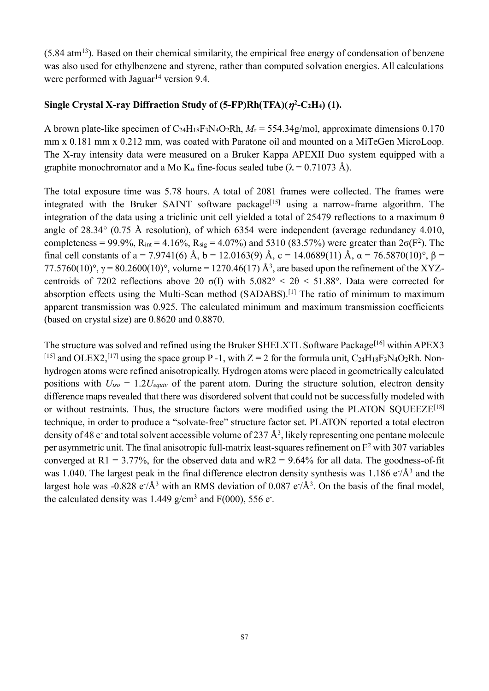$(5.84 \text{ atm}^{13})$ . Based on their chemical similarity, the empirical free energy of condensation of benzene was also used for ethylbenzene and styrene, rather than computed solvation energies. All calculations were performed with Jaguar<sup>14</sup> version 9.4.

## Single Crystal X-ray Diffraction Study of  $(5$ -FP)Rh $(TFA)(\eta^2$ -C2H<sub>4</sub> $)$  (1).

A brown plate-like specimen of  $C_2$ <sup>4H<sub>18</sub>F<sub>3</sub>N<sub>4</sub>O<sub>2</sub>Rh,  $M_r$  = 554.34g/mol, approximate dimensions 0.170</sup> mm x 0.181 mm x 0.212 mm, was coated with Paratone oil and mounted on a MiTeGen MicroLoop. The X-ray intensity data were measured on a Bruker Kappa APEXII Duo system equipped with a graphite monochromator and a Mo K<sub>a</sub> fine-focus sealed tube ( $\lambda$  = 0.71073 Å).

The total exposure time was 5.78 hours. A total of 2081 frames were collected. The frames were integrated with the Bruker SAINT software package<sup>[15]</sup> using a narrow-frame algorithm. The integration of the data using a triclinic unit cell yielded a total of 25479 reflections to a maximum  $\theta$ angle of 28.34° (0.75 Å resolution), of which 6354 were independent (average redundancy 4.010, completeness = 99.9%,  $R_{int} = 4.16\%$ ,  $R_{sig} = 4.07\%$ ) and 5310 (83.57%) were greater than  $2\sigma(F^2)$ . The final cell constants of a = 7.9741(6) Å, b = 12.0163(9) Å, c = 14.0689(11) Å,  $\alpha$  = 76.5870(10)°,  $\beta$  = 77.5760(10)°, γ = 80.2600(10)°, volume = 1270.46(17) Å<sup>3</sup>, are based upon the refinement of the XYZcentroids of 7202 reflections above 20  $\sigma(I)$  with  $5.082^\circ < 2\theta < 51.88^\circ$ . Data were corrected for absorption effects using the Multi-Scan method (SADABS).<sup>[1]</sup> The ratio of minimum to maximum apparent transmission was 0.925. The calculated minimum and maximum transmission coefficients (based on crystal size) are 0.8620 and 0.8870.

The structure was solved and refined using the Bruker SHELXTL Software Package<sup>[16]</sup> within APEX3 <sup>[15]</sup> and OLEX2,<sup>[17]</sup> using the space group P -1, with  $Z = 2$  for the formula unit, C<sub>24</sub>H<sub>18</sub>F<sub>3</sub>N<sub>4</sub>O<sub>2</sub>Rh. Nonhydrogen atoms were refined anisotropically. Hydrogen atoms were placed in geometrically calculated positions with  $U_{iso} = 1.2U_{equiv}$  of the parent atom. During the structure solution, electron density difference maps revealed that there was disordered solvent that could not be successfully modeled with or without restraints. Thus, the structure factors were modified using the PLATON SOUEEZE<sup>[18]</sup> technique, in order to produce a "solvate-free" structure factor set. PLATON reported a total electron density of 48 e- and total solvent accessible volume of 237  $\AA^3$ , likely representing one pentane molecule per asymmetric unit. The final anisotropic full-matrix least-squares refinement on  $F<sup>2</sup>$  with 307 variables converged at  $R1 = 3.77\%$ , for the observed data and wR2 = 9.64% for all data. The goodness-of-fit was 1.040. The largest peak in the final difference electron density synthesis was 1.186  $e/\text{\AA}^3$  and the largest hole was -0.828  $e^{\frac{1}{A^3}}$  with an RMS deviation of 0.087  $e^{\frac{1}{A^3}}$ . On the basis of the final model, the calculated density was  $1.449$  g/cm<sup>3</sup> and  $F(000)$ , 556 e.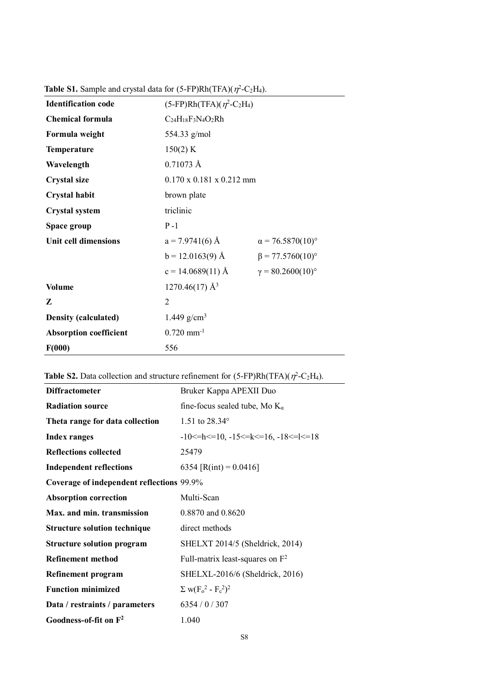| <b>Identification code</b>    | $(5-FP)Rh(TFA)(\eta^2-C_2H_4)$       |                          |  |
|-------------------------------|--------------------------------------|--------------------------|--|
| <b>Chemical formula</b>       | $C_{24}H_{18}F_3N_4O_2Rh$            |                          |  |
| Formula weight                | 554.33 g/mol                         |                          |  |
| <b>Temperature</b>            | 150(2) K                             |                          |  |
| Wavelength                    | $0.71073 \text{ Å}$                  |                          |  |
| <b>Crystal size</b>           | $0.170 \times 0.181 \times 0.212$ mm |                          |  |
| <b>Crystal habit</b>          | brown plate                          |                          |  |
| <b>Crystal system</b>         | triclinic                            |                          |  |
| Space group                   | $P - 1$                              |                          |  |
| Unit cell dimensions          | $a = 7.9741(6)$ Å                    | $\alpha$ = 76.5870(10)°  |  |
|                               | $b = 12.0163(9)$ Å                   | $\beta$ = 77.5760(10)°   |  |
|                               | $c = 14.0689(11)$ Å                  | $\gamma = 80.2600(10)$ ° |  |
| <b>Volume</b>                 | $1270.46(17)$ Å <sup>3</sup>         |                          |  |
| Z                             | $\overline{2}$                       |                          |  |
| <b>Density (calculated)</b>   | 1.449 g/cm <sup>3</sup>              |                          |  |
| <b>Absorption coefficient</b> | $0.720$ mm <sup>-1</sup>             |                          |  |
| F(000)                        | 556                                  |                          |  |

**Table S1.** Sample and crystal data for  $(5$ -FP)Rh $(TFA)(\eta^2-C_2H_4)$ .

| <b>Table S2.</b> Data collection and structure refinement for $(5-FP)Rh(TFA)(\eta^2-C_2H_4)$ . |  |  |  |  |  |  |  |
|------------------------------------------------------------------------------------------------|--|--|--|--|--|--|--|
|------------------------------------------------------------------------------------------------|--|--|--|--|--|--|--|

| <b>Diffractometer</b>                     | Bruker Kappa APEXII Duo                                      |
|-------------------------------------------|--------------------------------------------------------------|
| <b>Radiation source</b>                   | fine-focus sealed tube, Mo $K_{\alpha}$                      |
| Theta range for data collection           | 1.51 to $28.34^{\circ}$                                      |
| <b>Index ranges</b>                       | $-10 \le h \le 10$ , $-15 \le k \le 16$ , $-18 \le k \le 18$ |
| <b>Reflections collected</b>              | 25479                                                        |
| <b>Independent reflections</b>            | 6354 [R(int) = $0.0416$ ]                                    |
| Coverage of independent reflections 99.9% |                                                              |
| <b>Absorption correction</b>              | Multi-Scan                                                   |
| Max. and min. transmission                | 0.8870 and 0.8620                                            |
| <b>Structure solution technique</b>       | direct methods                                               |
| <b>Structure solution program</b>         | SHELXT 2014/5 (Sheldrick, 2014)                              |
| <b>Refinement method</b>                  | Full-matrix least-squares on $F^2$                           |
| Refinement program                        | SHELXL-2016/6 (Sheldrick, 2016)                              |
| <b>Function minimized</b>                 | $\Sigma$ w( $F_0^2$ - $F_c^2$ ) <sup>2</sup>                 |
| Data / restraints / parameters            | 6354/0/307                                                   |
| Goodness-of-fit on $\mathbb{F}^2$         | 1.040                                                        |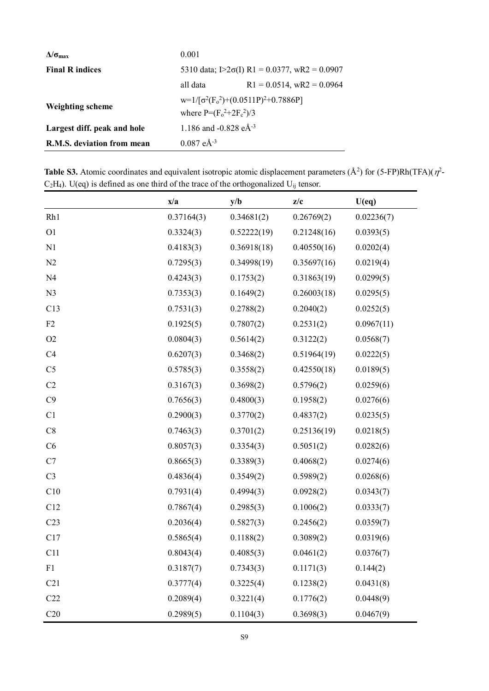| $\Delta/\sigma_{\rm max}$   | 0.001                                                                     |                              |  |
|-----------------------------|---------------------------------------------------------------------------|------------------------------|--|
| <b>Final R indices</b>      | 5310 data; $[2\sigma(I) \text{ R1} = 0.0377, \text{ wR2} = 0.0907]$       |                              |  |
|                             | all data                                                                  | $R1 = 0.0514$ , wR2 = 0.0964 |  |
| <b>Weighting scheme</b>     | $w=1/[\sigma^2(F_0^2)+(0.0511P)^2+0.7886P]$<br>where $P=(F_0^2+2F_c^2)/3$ |                              |  |
| Largest diff. peak and hole | 1.186 and -0.828 $e\text{\AA}^{-3}$                                       |                              |  |
| R.M.S. deviation from mean  | $0.087 eA^{-3}$                                                           |                              |  |

**Table S3.** Atomic coordinates and equivalent isotropic atomic displacement parameters  $(\AA^2)$  for  $(5\text{-FP})\text{Rh}(TFA)(\eta^2\text{-F}$  $C_2H_4$ ). U(eq) is defined as one third of the trace of the orthogonalized U<sub>ij</sub> tensor.  $\blacksquare$ 

|                 | x/a        | y/b         | z/c         | U(eq)      |
|-----------------|------------|-------------|-------------|------------|
| Rh1             | 0.37164(3) | 0.34681(2)  | 0.26769(2)  | 0.02236(7) |
| O <sub>1</sub>  | 0.3324(3)  | 0.52222(19) | 0.21248(16) | 0.0393(5)  |
| N1              | 0.4183(3)  | 0.36918(18) | 0.40550(16) | 0.0202(4)  |
| N2              | 0.7295(3)  | 0.34998(19) | 0.35697(16) | 0.0219(4)  |
| N <sub>4</sub>  | 0.4243(3)  | 0.1753(2)   | 0.31863(19) | 0.0299(5)  |
| N <sub>3</sub>  | 0.7353(3)  | 0.1649(2)   | 0.26003(18) | 0.0295(5)  |
| C13             | 0.7531(3)  | 0.2788(2)   | 0.2040(2)   | 0.0252(5)  |
| F2              | 0.1925(5)  | 0.7807(2)   | 0.2531(2)   | 0.0967(11) |
| O2              | 0.0804(3)  | 0.5614(2)   | 0.3122(2)   | 0.0568(7)  |
| C4              | 0.6207(3)  | 0.3468(2)   | 0.51964(19) | 0.0222(5)  |
| C <sub>5</sub>  | 0.5785(3)  | 0.3558(2)   | 0.42550(18) | 0.0189(5)  |
| C2              | 0.3167(3)  | 0.3698(2)   | 0.5796(2)   | 0.0259(6)  |
| C9              | 0.7656(3)  | 0.4800(3)   | 0.1958(2)   | 0.0276(6)  |
| C1              | 0.2900(3)  | 0.3770(2)   | 0.4837(2)   | 0.0235(5)  |
| C8              | 0.7463(3)  | 0.3701(2)   | 0.25136(19) | 0.0218(5)  |
| C6              | 0.8057(3)  | 0.3354(3)   | 0.5051(2)   | 0.0282(6)  |
| C7              | 0.8665(3)  | 0.3389(3)   | 0.4068(2)   | 0.0274(6)  |
| C <sub>3</sub>  | 0.4836(4)  | 0.3549(2)   | 0.5989(2)   | 0.0268(6)  |
| C10             | 0.7931(4)  | 0.4994(3)   | 0.0928(2)   | 0.0343(7)  |
| C12             | 0.7867(4)  | 0.2985(3)   | 0.1006(2)   | 0.0333(7)  |
| C <sub>23</sub> | 0.2036(4)  | 0.5827(3)   | 0.2456(2)   | 0.0359(7)  |
| C17             | 0.5865(4)  | 0.1188(2)   | 0.3089(2)   | 0.0319(6)  |
| C11             | 0.8043(4)  | 0.4085(3)   | 0.0461(2)   | 0.0376(7)  |
| F1              | 0.3187(7)  | 0.7343(3)   | 0.1171(3)   | 0.144(2)   |
| C21             | 0.3777(4)  | 0.3225(4)   | 0.1238(2)   | 0.0431(8)  |
| C22             | 0.2089(4)  | 0.3221(4)   | 0.1776(2)   | 0.0448(9)  |
| C20             | 0.2989(5)  | 0.1104(3)   | 0.3698(3)   | 0.0467(9)  |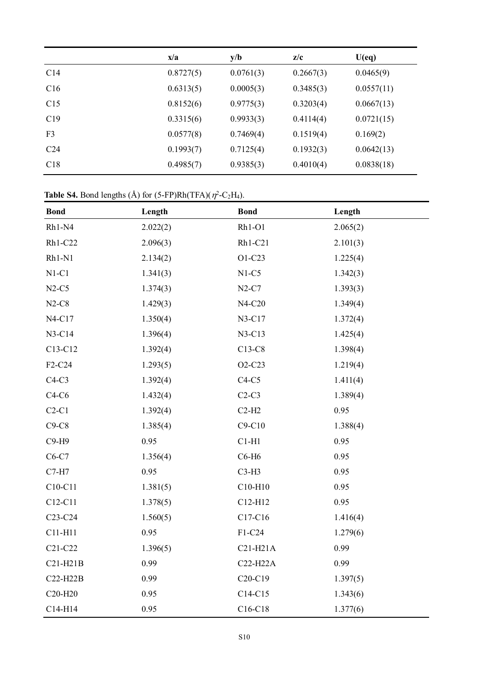|                 | x/a       | y/b       | z/c       | U(eq)      |
|-----------------|-----------|-----------|-----------|------------|
| C <sub>14</sub> | 0.8727(5) | 0.0761(3) | 0.2667(3) | 0.0465(9)  |
| C16             | 0.6313(5) | 0.0005(3) | 0.3485(3) | 0.0557(11) |
| C15             | 0.8152(6) | 0.9775(3) | 0.3203(4) | 0.0667(13) |
| C19             | 0.3315(6) | 0.9933(3) | 0.4114(4) | 0.0721(15) |
| F <sub>3</sub>  | 0.0577(8) | 0.7469(4) | 0.1519(4) | 0.169(2)   |
| C <sub>24</sub> | 0.1993(7) | 0.7125(4) | 0.1932(3) | 0.0642(13) |
| C18             | 0.4985(7) | 0.9385(3) | 0.4010(4) | 0.0838(18) |

#### **Table S4.** Bond lengths  $(A)$  for  $(5$ -FP)Rh $(TFA)(\eta^2$ -C<sub>2</sub>H<sub>4</sub>).

| <b>Bond</b>                      | Length   | <b>Bond</b>                      | Length   |
|----------------------------------|----------|----------------------------------|----------|
| Rh1-N4                           | 2.022(2) | $Rh1-O1$                         | 2.065(2) |
| Rh1-C22                          | 2.096(3) | Rh1-C21                          | 2.101(3) |
| Rh1-N1                           | 2.134(2) | O1-C23                           | 1.225(4) |
| $N1-C1$                          | 1.341(3) | $N1-C5$                          | 1.342(3) |
| $N2-C5$                          | 1.374(3) | $N2-C7$                          | 1.393(3) |
| $N2-C8$                          | 1.429(3) | N4-C20                           | 1.349(4) |
| N4-C17                           | 1.350(4) | N3-C17                           | 1.372(4) |
| N3-C14                           | 1.396(4) | N3-C13                           | 1.425(4) |
| C13-C12                          | 1.392(4) | C13-C8                           | 1.398(4) |
| F2-C24                           | 1.293(5) | O2-C23                           | 1.219(4) |
| $C4-C3$                          | 1.392(4) | $C4-C5$                          | 1.411(4) |
| $C4-C6$                          | 1.432(4) | $C2-C3$                          | 1.389(4) |
| $C2-C1$                          | 1.392(4) | $C2-H2$                          | 0.95     |
| $C9-C8$                          | 1.385(4) | $C9-C10$                         | 1.388(4) |
| C9-H9                            | 0.95     | $C1-H1$                          | 0.95     |
| C6-C7                            | 1.356(4) | C6-H6                            | 0.95     |
| $C7-H7$                          | 0.95     | $C3-H3$                          | 0.95     |
| C10-C11                          | 1.381(5) | C10-H10                          | 0.95     |
| C12-C11                          | 1.378(5) | C12-H12                          | 0.95     |
| C <sub>23</sub> -C <sub>24</sub> | 1.560(5) | C17-C16                          | 1.416(4) |
| C11-H11                          | 0.95     | F1-C24                           | 1.279(6) |
| C <sub>21</sub> -C <sub>22</sub> | 1.396(5) | $C21-H21A$                       | 0.99     |
| $C21-H21B$                       | 0.99     | C22-H22A                         | 0.99     |
| C22-H22B                         | 0.99     | C <sub>20</sub> -C <sub>19</sub> | 1.397(5) |
| C20-H20                          | 0.95     | C14-C15                          | 1.343(6) |
| C14-H14                          | 0.95     | C16-C18                          | 1.377(6) |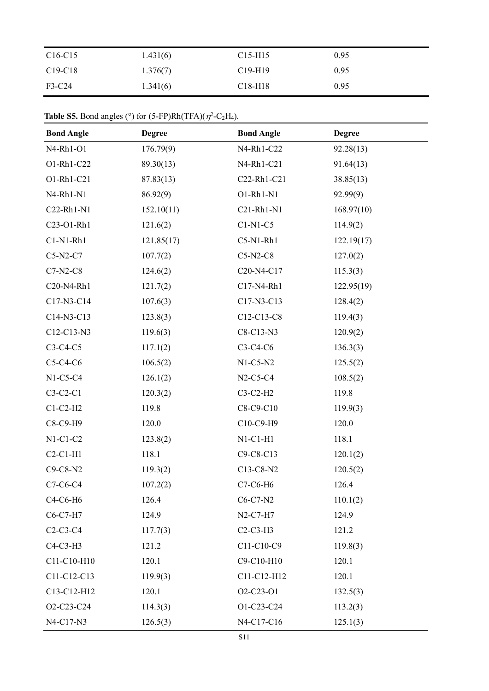| $C16-C15$                        | 1.431(6) | $C15-H15$ | 0.95 |
|----------------------------------|----------|-----------|------|
| C <sub>19</sub> -C <sub>18</sub> | 1.376(7) | $C19-H19$ | 0.95 |
| F3-C24                           | 1.341(6) | $C18-H18$ | 0.95 |

| <b>Table S5.</b> Bond angles (°) for $(5-FP)Rh(TFA)(\eta^2-C_2H_4)$ . |  |  |  |
|-----------------------------------------------------------------------|--|--|--|
|-----------------------------------------------------------------------|--|--|--|

| <b>Bond Angle</b> | <b>Degree</b> | <b>Bond Angle</b>                                | <b>Degree</b> |
|-------------------|---------------|--------------------------------------------------|---------------|
| N4-Rh1-O1         | 176.79(9)     | N4-Rh1-C22                                       | 92.28(13)     |
| O1-Rh1-C22        | 89.30(13)     | N4-Rh1-C21                                       | 91.64(13)     |
| O1-Rh1-C21        | 87.83(13)     | C22-Rh1-C21                                      | 38.85(13)     |
| N4-Rh1-N1         | 86.92(9)      | O1-Rh1-N1                                        | 92.99(9)      |
| C22-Rh1-N1        | 152.10(11)    | C21-Rh1-N1                                       | 168.97(10)    |
| C23-O1-Rh1        | 121.6(2)      | $C1-N1-C5$                                       | 114.9(2)      |
| $C1-N1-Rh1$       | 121.85(17)    | $C5-N1-Rh1$                                      | 122.19(17)    |
| $C5-N2-C7$        | 107.7(2)      | $C5-N2-C8$                                       | 127.0(2)      |
| $C7-N2-C8$        | 124.6(2)      | C <sub>20</sub> -N <sub>4</sub> -C <sub>17</sub> | 115.3(3)      |
| C20-N4-Rh1        | 121.7(2)      | C17-N4-Rh1                                       | 122.95(19)    |
| C17-N3-C14        | 107.6(3)      | C17-N3-C13                                       | 128.4(2)      |
| C14-N3-C13        | 123.8(3)      | C12-C13-C8                                       | 119.4(3)      |
| C12-C13-N3        | 119.6(3)      | C8-C13-N3                                        | 120.9(2)      |
| $C3-C4-C5$        | 117.1(2)      | C3-C4-C6                                         | 136.3(3)      |
| $C5-C4-C6$        | 106.5(2)      | $N1-C5-N2$                                       | 125.5(2)      |
| $N1-C5-C4$        | 126.1(2)      | $N2-C5-C4$                                       | 108.5(2)      |
| $C3-C2-C1$        | 120.3(2)      | $C3-C2-H2$                                       | 119.8         |
| $C1-C2-H2$        | 119.8         | C8-C9-C10                                        | 119.9(3)      |
| C8-C9-H9          | 120.0         | C10-C9-H9                                        | 120.0         |
| $N1-C1-C2$        | 123.8(2)      | $N1-C1-H1$                                       | 118.1         |
| $C2-C1-H1$        | 118.1         | C9-C8-C13                                        | 120.1(2)      |
| C9-C8-N2          | 119.3(2)      | C13-C8-N2                                        | 120.5(2)      |
| C7-C6-C4          | 107.2(2)      | C7-C6-H6                                         | 126.4         |
| C4-C6-H6          | 126.4         | $C6-C7-N2$                                       | 110.1(2)      |
| C6-C7-H7          | 124.9         | $N2-C7-H7$                                       | 124.9         |
| $C2-C3-C4$        | 117.7(3)      | $C2-C3-H3$                                       | 121.2         |
| C4-C3-H3          | 121.2         | C11-C10-C9                                       | 119.8(3)      |
| C11-C10-H10       | 120.1         | C9-C10-H10                                       | 120.1         |
| C11-C12-C13       | 119.9(3)      | C11-C12-H12                                      | 120.1         |
| C13-C12-H12       | 120.1         | O2-C23-O1                                        | 132.5(3)      |
| O2-C23-C24        | 114.3(3)      | O1-C23-C24                                       | 113.2(3)      |
| N4-C17-N3         | 126.5(3)      | N4-C17-C16                                       | 125.1(3)      |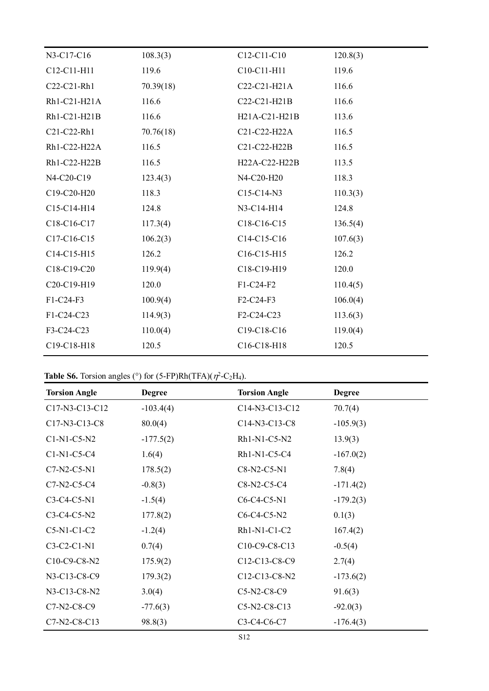| N3-C17-C16   | 108.3(3)  | C12-C11-C10                                          | 120.8(3) |
|--------------|-----------|------------------------------------------------------|----------|
| C12-C11-H11  | 119.6     | C10-C11-H11                                          | 119.6    |
| C22-C21-Rh1  | 70.39(18) | C22-C21-H21A                                         | 116.6    |
| Rh1-C21-H21A | 116.6     | C22-C21-H21B                                         | 116.6    |
| Rh1-C21-H21B | 116.6     | H <sub>2</sub> 1A-C <sub>21</sub> -H <sub>21</sub> B | 113.6    |
| C21-C22-Rh1  | 70.76(18) | C21-C22-H22A                                         | 116.5    |
| Rh1-C22-H22A | 116.5     | C21-C22-H22B                                         | 116.5    |
| Rh1-C22-H22B | 116.5     | H22A-C22-H22B                                        | 113.5    |
| N4-C20-C19   | 123.4(3)  | N4-C20-H20                                           | 118.3    |
| C19-C20-H20  | 118.3     | $C15-C14-N3$                                         | 110.3(3) |
| C15-C14-H14  | 124.8     | N3-C14-H14                                           | 124.8    |
| C18-C16-C17  | 117.3(4)  | C <sub>18</sub> -C <sub>16</sub> -C <sub>15</sub>    | 136.5(4) |
| C17-C16-C15  | 106.2(3)  | C14-C15-C16                                          | 107.6(3) |
| C14-C15-H15  | 126.2     | C16-C15-H15                                          | 126.2    |
| C18-C19-C20  | 119.9(4)  | C18-C19-H19                                          | 120.0    |
| C20-C19-H19  | 120.0     | F1-C24-F2                                            | 110.4(5) |
| F1-C24-F3    | 100.9(4)  | F2-C24-F3                                            | 106.0(4) |
| F1-C24-C23   | 114.9(3)  | F2-C24-C23                                           | 113.6(3) |
| F3-C24-C23   | 110.0(4)  | C19-C18-C16                                          | 119.0(4) |
| C19-C18-H18  | 120.5     | C16-C18-H18                                          | 120.5    |
|              |           |                                                      |          |

|  |  | <b>Table S6.</b> Torsion angles (°) for $(5-FP)Rh(TFA)(\eta^2-C_2H_4)$ . |  |  |  |  |
|--|--|--------------------------------------------------------------------------|--|--|--|--|
|--|--|--------------------------------------------------------------------------|--|--|--|--|

| <b>Torsion Angle</b> | <b>Degree</b> | <b>Torsion Angle</b> | <b>Degree</b> |
|----------------------|---------------|----------------------|---------------|
| C17-N3-C13-C12       | $-103.4(4)$   | C14-N3-C13-C12       | 70.7(4)       |
| C17-N3-C13-C8        | 80.0(4)       | C14-N3-C13-C8        | $-105.9(3)$   |
| C1-N1-C5-N2          | $-177.5(2)$   | Rh1-N1-C5-N2         | 13.9(3)       |
| $Cl-N1-C5-C4$        | 1.6(4)        | Rh1-N1-C5-C4         | $-167.0(2)$   |
| C7-N2-C5-N1          | 178.5(2)      | C8-N2-C5-N1          | 7.8(4)        |
| C7-N2-C5-C4          | $-0.8(3)$     | C8-N2-C5-C4          | $-171.4(2)$   |
| C3-C4-C5-N1          | $-1.5(4)$     | C6-C4-C5-N1          | $-179.2(3)$   |
| C3-C4-C5-N2          | 177.8(2)      | C6-C4-C5-N2          | 0.1(3)        |
| $C5-N1-C1-C2$        | $-1.2(4)$     | Rh1-N1-C1-C2         | 167.4(2)      |
| C3-C2-C1-N1          | 0.7(4)        | C10-C9-C8-C13        | $-0.5(4)$     |
| C10-C9-C8-N2         | 175.9(2)      | C12-C13-C8-C9        | 2.7(4)        |
| N3-C13-C8-C9         | 179.3(2)      | C12-C13-C8-N2        | $-173.6(2)$   |
| N3-C13-C8-N2         | 3.0(4)        | C5-N2-C8-C9          | 91.6(3)       |
| C7-N2-C8-C9          | $-77.6(3)$    | C5-N2-C8-C13         | $-92.0(3)$    |
| C7-N2-C8-C13         | 98.8(3)       | C3-C4-C6-C7          | $-176.4(3)$   |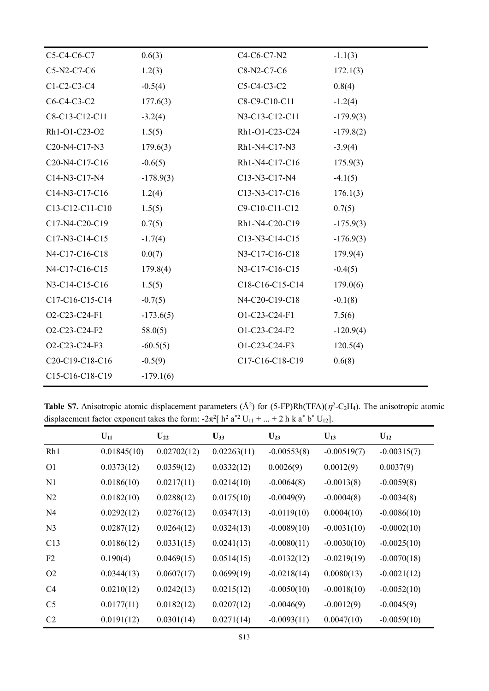| C5-C4-C6-C7                                                        | 0.6(3)      | $C4-C6-C7-N2$                                                     | $-1.1(3)$   |
|--------------------------------------------------------------------|-------------|-------------------------------------------------------------------|-------------|
| C5-N2-C7-C6                                                        | 1.2(3)      | C8-N2-C7-C6                                                       | 172.1(3)    |
| $C1-C2-C3-C4$                                                      | $-0.5(4)$   | C5-C4-C3-C2                                                       | 0.8(4)      |
| C6-C4-C3-C2                                                        | 177.6(3)    | C8-C9-C10-C11                                                     | $-1.2(4)$   |
| C8-C13-C12-C11                                                     | $-3.2(4)$   | N3-C13-C12-C11                                                    | $-179.9(3)$ |
| Rh1-O1-C23-O2                                                      | 1.5(5)      | Rh1-O1-C23-C24                                                    | $-179.8(2)$ |
| C <sub>20</sub> -N <sub>4</sub> -C <sub>17</sub> -N <sub>3</sub>   | 179.6(3)    | Rh1-N4-C17-N3                                                     | $-3.9(4)$   |
| C <sub>20</sub> -N <sub>4</sub> -C <sub>17</sub> -C <sub>16</sub>  | $-0.6(5)$   | Rh1-N4-C17-C16                                                    | 175.9(3)    |
| C14-N3-C17-N4                                                      | $-178.9(3)$ | C13-N3-C17-N4                                                     | $-4.1(5)$   |
| C14-N3-C17-C16                                                     | 1.2(4)      | C <sub>13</sub> -N <sub>3</sub> -C <sub>17</sub> -C <sub>16</sub> | 176.1(3)    |
| C13-C12-C11-C10                                                    | 1.5(5)      | C9-C10-C11-C12                                                    | 0.7(5)      |
| C17-N4-C20-C19                                                     | 0.7(5)      | Rh1-N4-C20-C19                                                    | $-175.9(3)$ |
| C17-N3-C14-C15                                                     | $-1.7(4)$   | C <sub>13</sub> -N <sub>3</sub> -C <sub>14</sub> -C <sub>15</sub> | $-176.9(3)$ |
| N4-C17-C16-C18                                                     | 0.0(7)      | N3-C17-C16-C18                                                    | 179.9(4)    |
| N4-C17-C16-C15                                                     | 179.8(4)    | N3-C17-C16-C15                                                    | $-0.4(5)$   |
| N3-C14-C15-C16                                                     | 1.5(5)      | C18-C16-C15-C14                                                   | 179.0(6)    |
| C17-C16-C15-C14                                                    | $-0.7(5)$   | N4-C20-C19-C18                                                    | $-0.1(8)$   |
| O2-C23-C24-F1                                                      | $-173.6(5)$ | O1-C23-C24-F1                                                     | 7.5(6)      |
| O2-C23-C24-F2                                                      | 58.0(5)     | O1-C23-C24-F2                                                     | $-120.9(4)$ |
| O2-C23-C24-F3                                                      | $-60.5(5)$  | O1-C23-C24-F3                                                     | 120.5(4)    |
| C <sub>20</sub> -C <sub>19</sub> -C <sub>18</sub> -C <sub>16</sub> | $-0.5(9)$   | C17-C16-C18-C19                                                   | 0.6(8)      |
| C15-C16-C18-C19                                                    | $-179.1(6)$ |                                                                   |             |
|                                                                    |             |                                                                   |             |

**Table S7.** Anisotropic atomic displacement parameters  $(A^2)$  for  $(5$ -FP)Rh(TFA) $(\eta^2$ -C<sub>2</sub>H<sub>4</sub>). The anisotropic atomic displacement factor exponent takes the form:  $-2\pi^2$ [ h<sup>2</sup> a<sup>\*2</sup> U<sub>11</sub> + ... + 2 h k a<sup>\*</sup> b<sup>\*</sup> U<sub>12</sub>].

|                | $U_{11}$    | $U_{22}$    | $\mathbf{U}_{33}$ | $U_{23}$      | $U_{13}$      | $U_{12}$      |
|----------------|-------------|-------------|-------------------|---------------|---------------|---------------|
| Rh1            | 0.01845(10) | 0.02702(12) | 0.02263(11)       | $-0.00553(8)$ | $-0.00519(7)$ | $-0.00315(7)$ |
| O <sub>1</sub> | 0.0373(12)  | 0.0359(12)  | 0.0332(12)        | 0.0026(9)     | 0.0012(9)     | 0.0037(9)     |
| N <sub>1</sub> | 0.0186(10)  | 0.0217(11)  | 0.0214(10)        | $-0.0064(8)$  | $-0.0013(8)$  | $-0.0059(8)$  |
| N2             | 0.0182(10)  | 0.0288(12)  | 0.0175(10)        | $-0.0049(9)$  | $-0.0004(8)$  | $-0.0034(8)$  |
| N <sub>4</sub> | 0.0292(12)  | 0.0276(12)  | 0.0347(13)        | $-0.0119(10)$ | 0.0004(10)    | $-0.0086(10)$ |
| N <sub>3</sub> | 0.0287(12)  | 0.0264(12)  | 0.0324(13)        | $-0.0089(10)$ | $-0.0031(10)$ | $-0.0002(10)$ |
| C13            | 0.0186(12)  | 0.0331(15)  | 0.0241(13)        | $-0.0080(11)$ | $-0.0030(10)$ | $-0.0025(10)$ |
| F <sub>2</sub> | 0.190(4)    | 0.0469(15)  | 0.0514(15)        | $-0.0132(12)$ | $-0.0219(19)$ | $-0.0070(18)$ |
| O <sub>2</sub> | 0.0344(13)  | 0.0607(17)  | 0.0699(19)        | $-0.0218(14)$ | 0.0080(13)    | $-0.0021(12)$ |
| C <sub>4</sub> | 0.0210(12)  | 0.0242(13)  | 0.0215(12)        | $-0.0050(10)$ | $-0.0018(10)$ | $-0.0052(10)$ |
| C <sub>5</sub> | 0.0177(11)  | 0.0182(12)  | 0.0207(12)        | $-0.0046(9)$  | $-0.0012(9)$  | $-0.0045(9)$  |
| C <sub>2</sub> | 0.0191(12)  | 0.0301(14)  | 0.0271(14)        | $-0.0093(11)$ | 0.0047(10)    | $-0.0059(10)$ |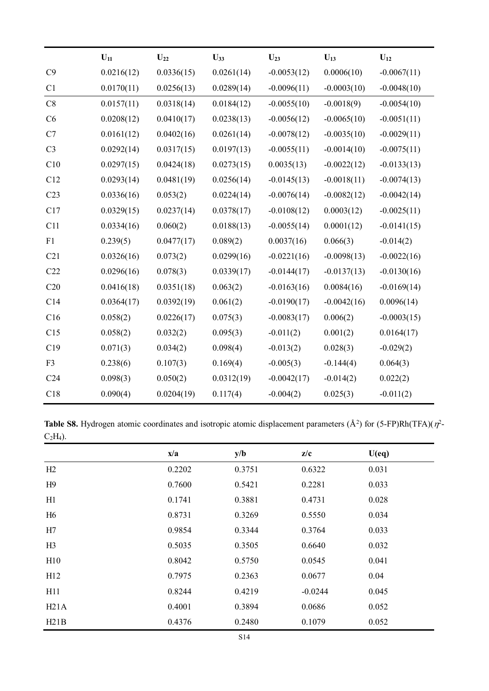|                 | $U_{11}$   | $U_{22}$   | $U_{33}$   | $U_{23}$      | $U_{13}$      | $U_{12}$      |
|-----------------|------------|------------|------------|---------------|---------------|---------------|
| C9              | 0.0216(12) | 0.0336(15) | 0.0261(14) | $-0.0053(12)$ | 0.0006(10)    | $-0.0067(11)$ |
| C <sub>1</sub>  | 0.0170(11) | 0.0256(13) | 0.0289(14) | $-0.0096(11)$ | $-0.0003(10)$ | $-0.0048(10)$ |
| C8              | 0.0157(11) | 0.0318(14) | 0.0184(12) | $-0.0055(10)$ | $-0.0018(9)$  | $-0.0054(10)$ |
| C6              | 0.0208(12) | 0.0410(17) | 0.0238(13) | $-0.0056(12)$ | $-0.0065(10)$ | $-0.0051(11)$ |
| C7              | 0.0161(12) | 0.0402(16) | 0.0261(14) | $-0.0078(12)$ | $-0.0035(10)$ | $-0.0029(11)$ |
| C <sub>3</sub>  | 0.0292(14) | 0.0317(15) | 0.0197(13) | $-0.0055(11)$ | $-0.0014(10)$ | $-0.0075(11)$ |
| C10             | 0.0297(15) | 0.0424(18) | 0.0273(15) | 0.0035(13)    | $-0.0022(12)$ | $-0.0133(13)$ |
| C12             | 0.0293(14) | 0.0481(19) | 0.0256(14) | $-0.0145(13)$ | $-0.0018(11)$ | $-0.0074(13)$ |
| C <sub>23</sub> | 0.0336(16) | 0.053(2)   | 0.0224(14) | $-0.0076(14)$ | $-0.0082(12)$ | $-0.0042(14)$ |
| C17             | 0.0329(15) | 0.0237(14) | 0.0378(17) | $-0.0108(12)$ | 0.0003(12)    | $-0.0025(11)$ |
| C11             | 0.0334(16) | 0.060(2)   | 0.0188(13) | $-0.0055(14)$ | 0.0001(12)    | $-0.0141(15)$ |
| F1              | 0.239(5)   | 0.0477(17) | 0.089(2)   | 0.0037(16)    | 0.066(3)      | $-0.014(2)$   |
| C21             | 0.0326(16) | 0.073(2)   | 0.0299(16) | $-0.0221(16)$ | $-0.0098(13)$ | $-0.0022(16)$ |
| C22             | 0.0296(16) | 0.078(3)   | 0.0339(17) | $-0.0144(17)$ | $-0.0137(13)$ | $-0.0130(16)$ |
| C20             | 0.0416(18) | 0.0351(18) | 0.063(2)   | $-0.0163(16)$ | 0.0084(16)    | $-0.0169(14)$ |
| C14             | 0.0364(17) | 0.0392(19) | 0.061(2)   | $-0.0190(17)$ | $-0.0042(16)$ | 0.0096(14)    |
| C16             | 0.058(2)   | 0.0226(17) | 0.075(3)   | $-0.0083(17)$ | 0.006(2)      | $-0.0003(15)$ |
| C15             | 0.058(2)   | 0.032(2)   | 0.095(3)   | $-0.011(2)$   | 0.001(2)      | 0.0164(17)    |
| C19             | 0.071(3)   | 0.034(2)   | 0.098(4)   | $-0.013(2)$   | 0.028(3)      | $-0.029(2)$   |
| F <sub>3</sub>  | 0.238(6)   | 0.107(3)   | 0.169(4)   | $-0.005(3)$   | $-0.144(4)$   | 0.064(3)      |
| C <sub>24</sub> | 0.098(3)   | 0.050(2)   | 0.0312(19) | $-0.0042(17)$ | $-0.014(2)$   | 0.022(2)      |
| C18             | 0.090(4)   | 0.0204(19) | 0.117(4)   | $-0.004(2)$   | 0.025(3)      | $-0.011(2)$   |

**Table S8.** Hydrogen atomic coordinates and isotropic atomic displacement parameters  $(\AA^2)$  for  $(5\text{-FP})\text{Rh}(TFA)(\eta^2\text{-FP})$  $C_2H_4$ ).

|                | x/a    | y/b    | z/c       | U(eq) |
|----------------|--------|--------|-----------|-------|
| H2             | 0.2202 | 0.3751 | 0.6322    | 0.031 |
| H9             | 0.7600 | 0.5421 | 0.2281    | 0.033 |
| H1             | 0.1741 | 0.3881 | 0.4731    | 0.028 |
| H <sub>6</sub> | 0.8731 | 0.3269 | 0.5550    | 0.034 |
| H7             | 0.9854 | 0.3344 | 0.3764    | 0.033 |
| H3             | 0.5035 | 0.3505 | 0.6640    | 0.032 |
| H10            | 0.8042 | 0.5750 | 0.0545    | 0.041 |
| H12            | 0.7975 | 0.2363 | 0.0677    | 0.04  |
| H11            | 0.8244 | 0.4219 | $-0.0244$ | 0.045 |
| H21A           | 0.4001 | 0.3894 | 0.0686    | 0.052 |
| H21B           | 0.4376 | 0.2480 | 0.1079    | 0.052 |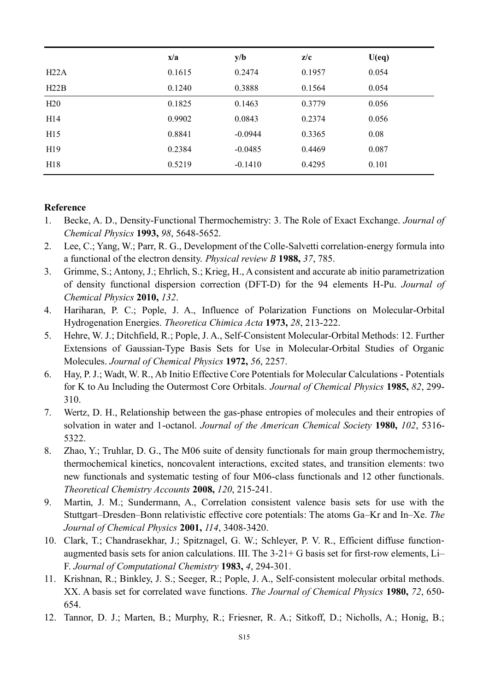|      | x/a    | y/b       | z/c    | U(eq) |
|------|--------|-----------|--------|-------|
| H22A | 0.1615 | 0.2474    | 0.1957 | 0.054 |
| H22B | 0.1240 | 0.3888    | 0.1564 | 0.054 |
| H20  | 0.1825 | 0.1463    | 0.3779 | 0.056 |
| H14  | 0.9902 | 0.0843    | 0.2374 | 0.056 |
| H15  | 0.8841 | $-0.0944$ | 0.3365 | 0.08  |
| H19  | 0.2384 | $-0.0485$ | 0.4469 | 0.087 |
| H18  | 0.5219 | $-0.1410$ | 0.4295 | 0.101 |

#### **Reference**

- 1. Becke, A. D., Density-Functional Thermochemistry: 3. The Role of Exact Exchange. *Journal of Chemical Physics* **1993,** *98*, 5648-5652.
- 2. Lee, C.; Yang, W.; Parr, R. G., Development of the Colle-Salvetti correlation-energy formula into a functional of the electron density. *Physical review B* **1988,** *37*, 785.
- 3. Grimme, S.; Antony, J.; Ehrlich, S.; Krieg, H., A consistent and accurate ab initio parametrization of density functional dispersion correction (DFT-D) for the 94 elements H-Pu. *Journal of Chemical Physics* **2010,** *132*.
- 4. Hariharan, P. C.; Pople, J. A., Influence of Polarization Functions on Molecular-Orbital Hydrogenation Energies. *Theoretica Chimica Acta* **1973,** *28*, 213-222.
- 5. Hehre, W. J.; Ditchfield, R.; Pople, J. A., Self-Consistent Molecular-Orbital Methods: 12. Further Extensions of Gaussian-Type Basis Sets for Use in Molecular-Orbital Studies of Organic Molecules. *Journal of Chemical Physics* **1972,** *56*, 2257.
- 6. Hay, P. J.; Wadt, W. R., Ab Initio Effective Core Potentials for Molecular Calculations Potentials for K to Au Including the Outermost Core Orbitals. *Journal of Chemical Physics* **1985,** *82*, 299- 310.
- 7. Wertz, D. H., Relationship between the gas-phase entropies of molecules and their entropies of solvation in water and 1-octanol. *Journal of the American Chemical Society* **1980,** *102*, 5316- 5322.
- 8. Zhao, Y.; Truhlar, D. G., The M06 suite of density functionals for main group thermochemistry, thermochemical kinetics, noncovalent interactions, excited states, and transition elements: two new functionals and systematic testing of four M06-class functionals and 12 other functionals. *Theoretical Chemistry Accounts* **2008,** *120*, 215-241.
- 9. Martin, J. M.; Sundermann, A., Correlation consistent valence basis sets for use with the Stuttgart–Dresden–Bonn relativistic effective core potentials: The atoms Ga–Kr and In–Xe. *The Journal of Chemical Physics* **2001,** *114*, 3408-3420.
- 10. Clark, T.; Chandrasekhar, J.; Spitznagel, G. W.; Schleyer, P. V. R., Efficient diffuse function‐ augmented basis sets for anion calculations. III. The  $3-21+$  G basis set for first-row elements, Li– F. *Journal of Computational Chemistry* **1983,** *4*, 294-301.
- 11. Krishnan, R.; Binkley, J. S.; Seeger, R.; Pople, J. A., Self‐consistent molecular orbital methods. XX. A basis set for correlated wave functions. *The Journal of Chemical Physics* **1980,** *72*, 650- 654.
- 12. Tannor, D. J.; Marten, B.; Murphy, R.; Friesner, R. A.; Sitkoff, D.; Nicholls, A.; Honig, B.;